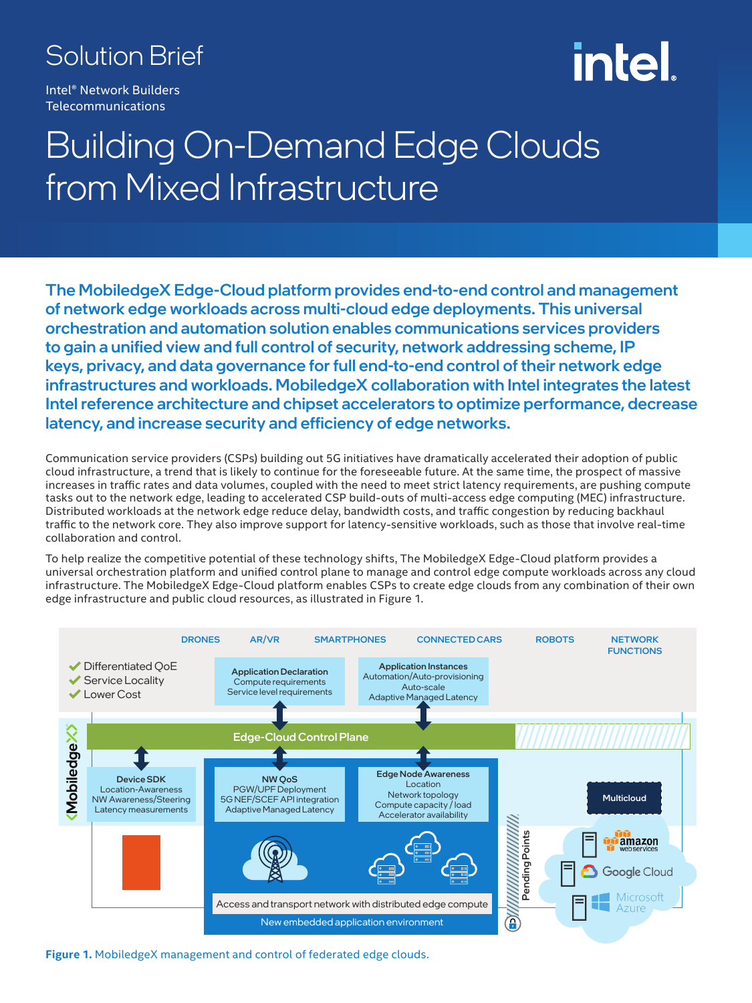### Solution Brief

Intel® Network Builders **Telecommunications** 

# intel

## Building On-Demand Edge Clouds from Mixed Infrastructure

The MobiledgeX Edge-Cloud platform provides end-to-end control and management of network edge workloads across multi-cloud edge deployments. This universal orchestration and automation solution enables communications services providers to gain a unified view and full control of security, network addressing scheme, IP keys, privacy, and data governance for full end-to-end control of their network edge infrastructures and workloads. MobiledgeX collaboration with Intel integrates the latest Intel reference architecture and chipset accelerators to optimize performance, decrease latency, and increase security and efficiency of edge networks.

Communication service providers (CSPs) building out 5G initiatives have dramatically accelerated their adoption of public cloud infrastructure, a trend that is likely to continue for the foreseeable future. At the same time, the prospect of massive increases in traffic rates and data volumes, coupled with the need to meet strict latency requirements, are pushing compute tasks out to the network edge, leading to accelerated CSP build-outs of multi-access edge computing (MEC) infrastructure. Distributed workloads at the network edge reduce delay, bandwidth costs, and traffic congestion by reducing backhaul traffic to the network core. They also improve support for latency-sensitive workloads, such as those that involve real-time collaboration and control.

To help realize the competitive potential of these technology shifts, The MobiledgeX Edge-Cloud platform provides a universal orchestration platform and unified control plane to manage and control edge compute workloads across any cloud infrastructure. The MobiledgeX Edge-Cloud platform enables CSPs to create edge clouds from any combination of their own edge infrastructure and public cloud resources, as illustrated in Figure 1.



**Figure 1.** MobiledgeX management and control of federated edge clouds.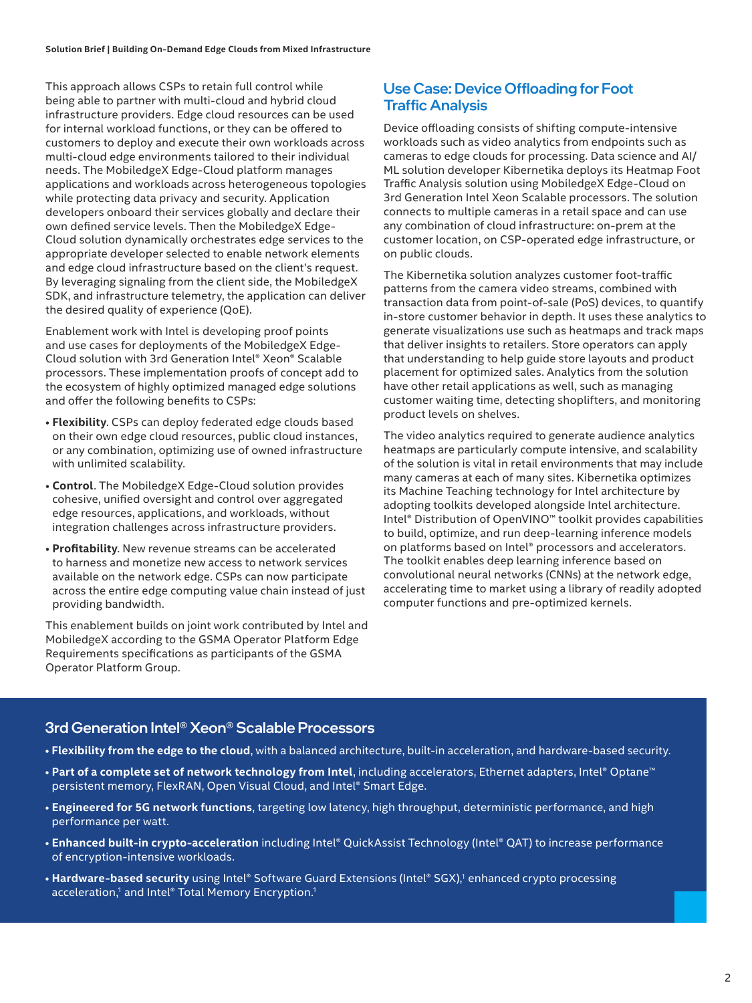This approach allows CSPs to retain full control while being able to partner with multi-cloud and hybrid cloud infrastructure providers. Edge cloud resources can be used for internal workload functions, or they can be offered to customers to deploy and execute their own workloads across multi-cloud edge environments tailored to their individual needs. The MobiledgeX Edge-Cloud platform manages applications and workloads across heterogeneous topologies while protecting data privacy and security. Application developers onboard their services globally and declare their own defined service levels. Then the MobiledgeX Edge-Cloud solution dynamically orchestrates edge services to the appropriate developer selected to enable network elements and edge cloud infrastructure based on the client's request. By leveraging signaling from the client side, the MobiledgeX SDK, and infrastructure telemetry, the application can deliver the desired quality of experience (QoE).

Enablement work with Intel is developing proof points and use cases for deployments of the MobiledgeX Edge-Cloud solution with 3rd Generation Intel® Xeon® Scalable processors. These implementation proofs of concept add to the ecosystem of highly optimized managed edge solutions and offer the following benefits to CSPs:

- **Flexibility**. CSPs can deploy federated edge clouds based on their own edge cloud resources, public cloud instances, or any combination, optimizing use of owned infrastructure with unlimited scalability.
- **Control**. The MobiledgeX Edge-Cloud solution provides cohesive, unified oversight and control over aggregated edge resources, applications, and workloads, without integration challenges across infrastructure providers.
- **Profitability**. New revenue streams can be accelerated to harness and monetize new access to network services available on the network edge. CSPs can now participate across the entire edge computing value chain instead of just providing bandwidth.

This enablement builds on joint work contributed by Intel and MobiledgeX according to the GSMA Operator Platform Edge Requirements specifications as participants of the GSMA Operator Platform Group.

#### Use Case: Device Offloading for Foot Traffic Analysis

Device offloading consists of shifting compute-intensive workloads such as video analytics from endpoints such as cameras to edge clouds for processing. Data science and AI/ ML solution developer Kibernetika deploys its Heatmap Foot Traffic Analysis solution using MobiledgeX Edge-Cloud on 3rd Generation Intel Xeon Scalable processors. The solution connects to multiple cameras in a retail space and can use any combination of cloud infrastructure: on-prem at the customer location, on CSP-operated edge infrastructure, or on public clouds.

The Kibernetika solution analyzes customer foot-traffic patterns from the camera video streams, combined with transaction data from point-of-sale (PoS) devices, to quantify in-store customer behavior in depth. It uses these analytics to generate visualizations use such as heatmaps and track maps that deliver insights to retailers. Store operators can apply that understanding to help guide store layouts and product placement for optimized sales. Analytics from the solution have other retail applications as well, such as managing customer waiting time, detecting shoplifters, and monitoring product levels on shelves.

The video analytics required to generate audience analytics heatmaps are particularly compute intensive, and scalability of the solution is vital in retail environments that may include many cameras at each of many sites. Kibernetika optimizes its Machine Teaching technology for Intel architecture by adopting toolkits developed alongside Intel architecture. Intel® Distribution of OpenVINO™ toolkit provides capabilities to build, optimize, and run deep-learning inference models on platforms based on Intel® processors and accelerators. The toolkit enables deep learning inference based on convolutional neural networks (CNNs) at the network edge, accelerating time to market using a library of readily adopted computer functions and pre-optimized kernels.

#### 3rd Generation Intel® Xeon® Scalable Processors

- **Flexibility from the edge to the cloud**, with a balanced architecture, built-in acceleration, and hardware-based security.
- **Part of a complete set of network technology from Intel**, including accelerators, Ethernet adapters, Intel® Optane™ persistent memory, FlexRAN, Open Visual Cloud, and Intel® Smart Edge.
- **Engineered for 5G network functions**, targeting low latency, high throughput, deterministic performance, and high performance per watt.
- **Enhanced built-in crypto-acceleration** including Intel® QuickAssist Technology (Intel® QAT) to increase performance of encryption-intensive workloads.
- Hardware-based security using Intel® Software Guard Extensions (Intel® SGX),<sup>1</sup> enhanced crypto processing acceleration,<sup>1</sup> and Intel® Total Memory Encryption.<sup>1</sup>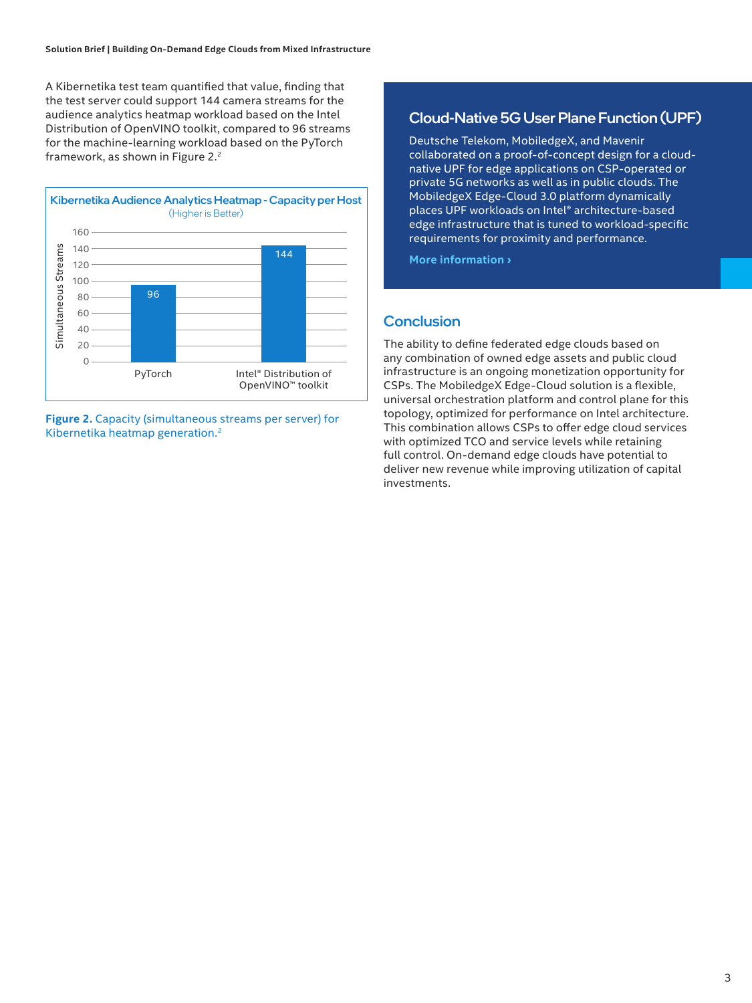A Kibernetika test team quantified that value, finding that the test server could support 144 camera streams for the audience analytics heatmap workload based on the Intel Distribution of OpenVINO toolkit, compared to 96 streams for the machine-learning workload based on the PyTorch framework, as shown in Figure 2.<sup>2</sup>



**Figure 2.** Capacity (simultaneous streams per server) for Kibernetika heatmap generation.2

#### Cloud-Native 5G User Plane Function (UPF)

Deutsche Telekom, MobiledgeX, and Mavenir collaborated on a proof-of-concept design for a cloudnative UPF for edge applications on CSP-operated or private 5G networks as well as in public clouds. The MobiledgeX Edge-Cloud 3.0 platform dynamically places UPF workloads on Intel® architecture-based edge infrastructure that is tuned to workload-specific requirements for proximity and performance.

**[More information ›](https://www.mavenir.com/press-releases/mavenir-and-mobiledgex-enable-global-edge-connectivity-with-deutsche-telekom/)**

#### **Conclusion**

The ability to define federated edge clouds based on any combination of owned edge assets and public cloud infrastructure is an ongoing monetization opportunity for CSPs. The MobiledgeX Edge-Cloud solution is a flexible, universal orchestration platform and control plane for this topology, optimized for performance on Intel architecture. This combination allows CSPs to offer edge cloud services with optimized TCO and service levels while retaining full control. On-demand edge clouds have potential to deliver new revenue while improving utilization of capital investments.